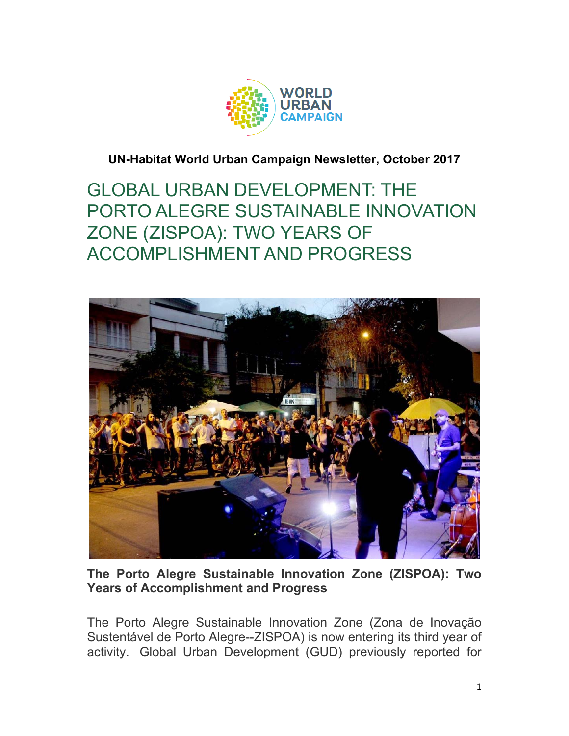

## **UN-Habitat World Urban Campaign Newsletter, October 2017**

GLOBAL URBAN DEVELOPMENT: THE PORTO ALEGRE SUSTAINABLE INNOVATION ZONE (ZISPOA): TWO YEARS OF ACCOMPLISHMENT AND PROGRESS



**The Porto Alegre Sustainable Innovation Zone (ZISPOA): Two Years of Accomplishment and Progress**

The Porto Alegre Sustainable Innovation Zone (Zona de Inovação Sustentável de Porto Alegre--ZISPOA) is now entering its third year of activity. Global Urban Development (GUD) previously reported for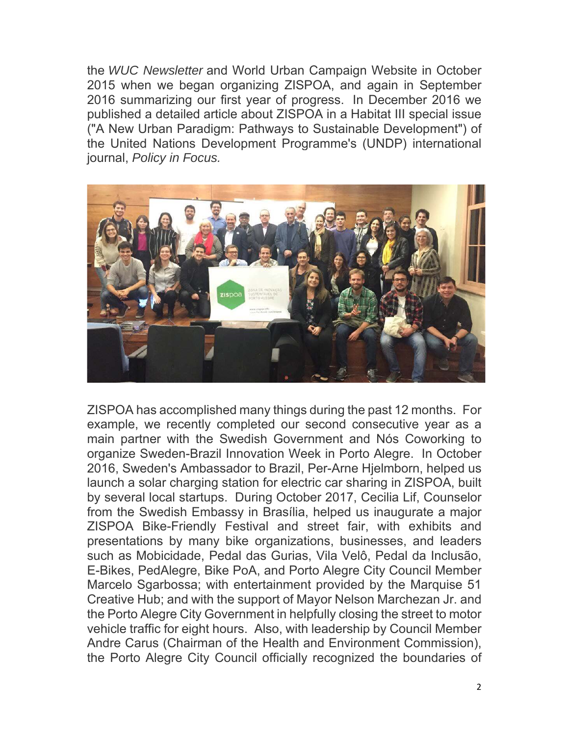the *WUC Newsletter* and World Urban Campaign Website in October 2015 when we began organizing ZISPOA, and again in September 2016 summarizing our first year of progress. In December 2016 we published a detailed article about ZISPOA in a Habitat III special issue ("A New Urban Paradigm: Pathways to Sustainable Development") of the United Nations Development Programme's (UNDP) international journal, *Policy in Focus.*



ZISPOA has accomplished many things during the past 12 months. For example, we recently completed our second consecutive year as a main partner with the Swedish Government and Nós Coworking to organize Sweden-Brazil Innovation Week in Porto Alegre. In October 2016, Sweden's Ambassador to Brazil, Per-Arne Hjelmborn, helped us launch a solar charging station for electric car sharing in ZISPOA, built by several local startups. During October 2017, Cecilia Lif, Counselor from the Swedish Embassy in Brasília, helped us inaugurate a major ZISPOA Bike-Friendly Festival and street fair, with exhibits and presentations by many bike organizations, businesses, and leaders such as Mobicidade, Pedal das Gurias, Vila Velô, Pedal da Inclusão, E-Bikes, PedAlegre, Bike PoA, and Porto Alegre City Council Member Marcelo Sgarbossa; with entertainment provided by the Marquise 51 Creative Hub; and with the support of Mayor Nelson Marchezan Jr. and the Porto Alegre City Government in helpfully closing the street to motor vehicle traffic for eight hours. Also, with leadership by Council Member Andre Carus (Chairman of the Health and Environment Commission), the Porto Alegre City Council officially recognized the boundaries of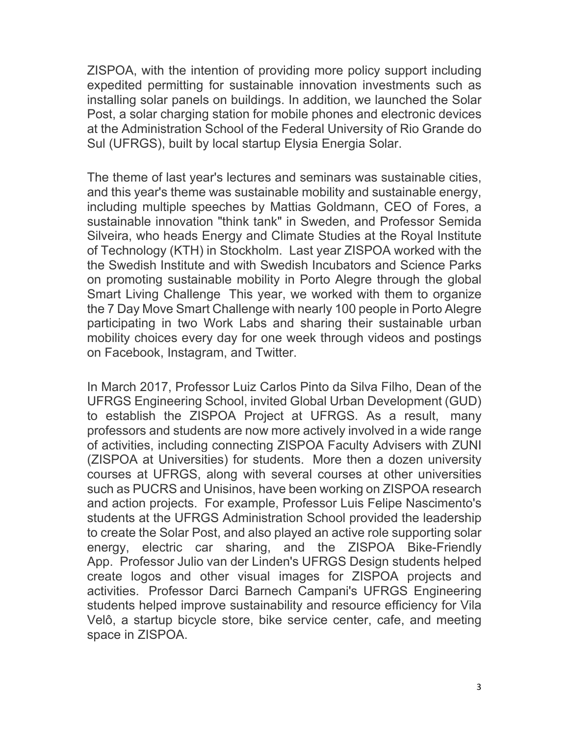ZISPOA, with the intention of providing more policy support including expedited permitting for sustainable innovation investments such as installing solar panels on buildings. In addition, we launched the Solar Post, a solar charging station for mobile phones and electronic devices at the Administration School of the Federal University of Rio Grande do Sul (UFRGS), built by local startup Elysia Energia Solar.

The theme of last year's lectures and seminars was sustainable cities, and this year's theme was sustainable mobility and sustainable energy, including multiple speeches by Mattias Goldmann, CEO of Fores, a sustainable innovation "think tank" in Sweden, and Professor Semida Silveira, who heads Energy and Climate Studies at the Royal Institute of Technology (KTH) in Stockholm. Last year ZISPOA worked with the the Swedish Institute and with Swedish Incubators and Science Parks on promoting sustainable mobility in Porto Alegre through the global Smart Living Challenge This year, we worked with them to organize the 7 Day Move Smart Challenge with nearly 100 people in Porto Alegre participating in two Work Labs and sharing their sustainable urban mobility choices every day for one week through videos and postings on Facebook, Instagram, and Twitter.

In March 2017, Professor Luiz Carlos Pinto da Silva Filho, Dean of the UFRGS Engineering School, invited Global Urban Development (GUD) to establish the ZISPOA Project at UFRGS. As a result, many professors and students are now more actively involved in a wide range of activities, including connecting ZISPOA Faculty Advisers with ZUNI (ZISPOA at Universities) for students. More then a dozen university courses at UFRGS, along with several courses at other universities such as PUCRS and Unisinos, have been working on ZISPOA research and action projects. For example, Professor Luis Felipe Nascimento's students at the UFRGS Administration School provided the leadership to create the Solar Post, and also played an active role supporting solar energy, electric car sharing, and the ZISPOA Bike-Friendly App. Professor Julio van der Linden's UFRGS Design students helped create logos and other visual images for ZISPOA projects and activities. Professor Darci Barnech Campani's UFRGS Engineering students helped improve sustainability and resource efficiency for Vila Velô, a startup bicycle store, bike service center, cafe, and meeting space in ZISPOA.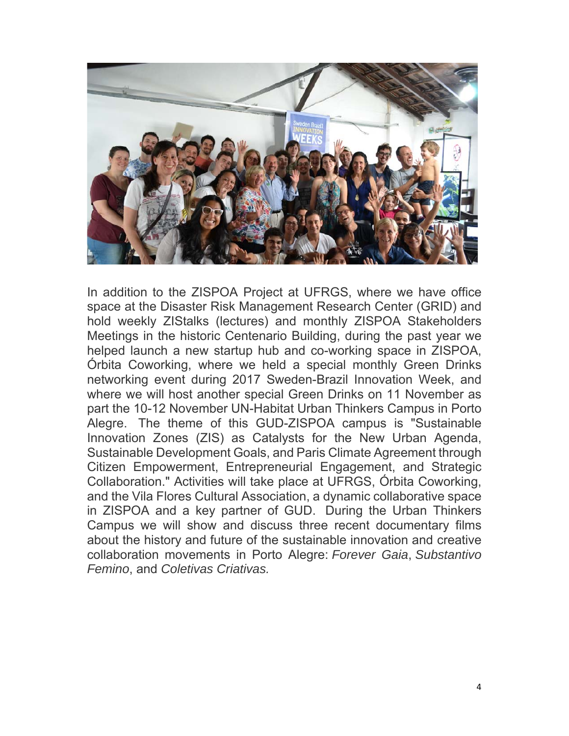

In addition to the ZISPOA Project at UFRGS, where we have office space at the Disaster Risk Management Research Center (GRID) and hold weekly ZIStalks (lectures) and monthly ZISPOA Stakeholders Meetings in the historic Centenario Building, during the past year we helped launch a new startup hub and co-working space in ZISPOA, Órbita Coworking, where we held a special monthly Green Drinks networking event during 2017 Sweden-Brazil Innovation Week, and where we will host another special Green Drinks on 11 November as part the 10-12 November UN-Habitat Urban Thinkers Campus in Porto Alegre. The theme of this GUD-ZISPOA campus is "Sustainable Innovation Zones (ZIS) as Catalysts for the New Urban Agenda, Sustainable Development Goals, and Paris Climate Agreement through Citizen Empowerment, Entrepreneurial Engagement, and Strategic Collaboration." Activities will take place at UFRGS, Órbita Coworking, and the Vila Flores Cultural Association, a dynamic collaborative space in ZISPOA and a key partner of GUD. During the Urban Thinkers Campus we will show and discuss three recent documentary films about the history and future of the sustainable innovation and creative collaboration movements in Porto Alegre: *Forever Gaia*, *Substantivo Femino*, and *Coletivas Criativas.*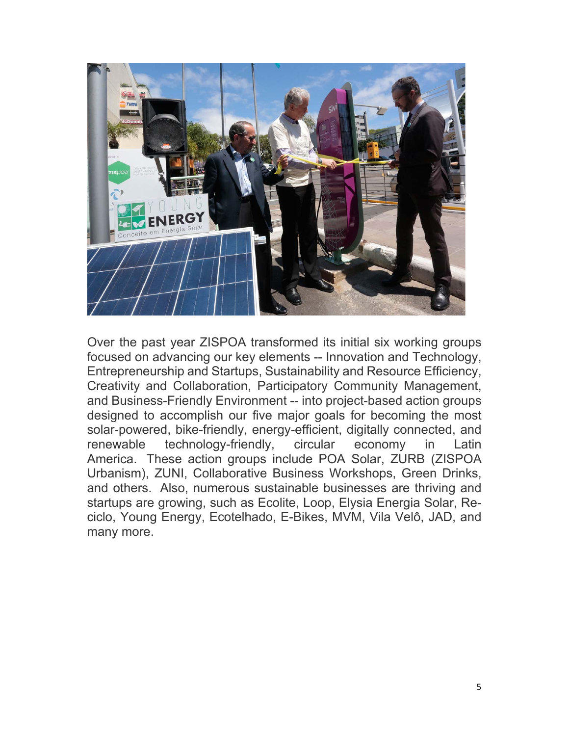

Over the past year ZISPOA transformed its initial six working groups focused on advancing our key elements -- Innovation and Technology, Entrepreneurship and Startups, Sustainability and Resource Efficiency, Creativity and Collaboration, Participatory Community Management, and Business-Friendly Environment -- into project-based action groups designed to accomplish our five major goals for becoming the most solar-powered, bike-friendly, energy-efficient, digitally connected, and renewable technology-friendly, circular economy in Latin America. These action groups include POA Solar, ZURB (ZISPOA Urbanism), ZUNI, Collaborative Business Workshops, Green Drinks, and others. Also, numerous sustainable businesses are thriving and startups are growing, such as Ecolite, Loop, Elysia Energia Solar, Reciclo, Young Energy, Ecotelhado, E-Bikes, MVM, Vila Velô, JAD, and many more.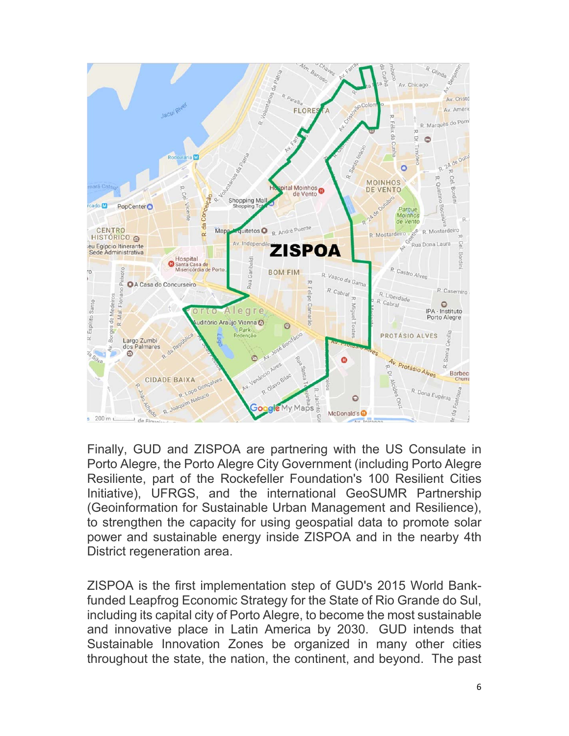

Finally, GUD and ZISPOA are partnering with the US Consulate in Porto Alegre, the Porto Alegre City Government (including Porto Alegre Resiliente, part of the Rockefeller Foundation's 100 Resilient Cities Initiative), UFRGS, and the international GeoSUMR Partnership (Geoinformation for Sustainable Urban Management and Resilience), to strengthen the capacity for using geospatial data to promote solar power and sustainable energy inside ZISPOA and in the nearby 4th District regeneration area.

ZISPOA is the first implementation step of GUD's 2015 World Bankfunded Leapfrog Economic Strategy for the State of Rio Grande do Sul, including its capital city of Porto Alegre, to become the most sustainable and innovative place in Latin America by 2030. GUD intends that Sustainable Innovation Zones be organized in many other cities throughout the state, the nation, the continent, and beyond. The past